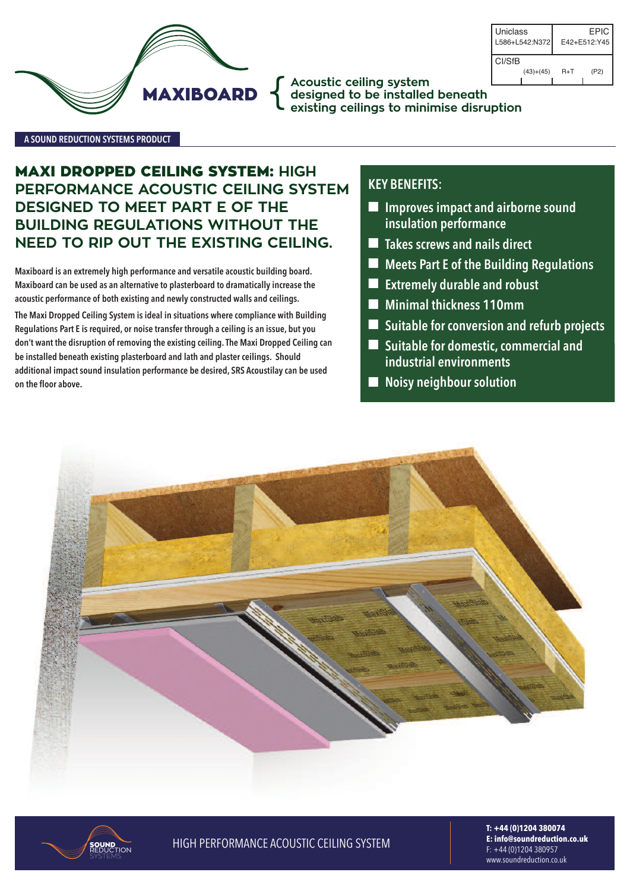

**Acoustic ceiling system designed to be installed beneath** { **existing ceilings to minimise disruption**

Uniclass L586+L542:N372 E42+E512:Y45 EPIC CI/SfB (43)+(45) R+T (P2)

#### **A SouNd REducTIoN SYSTEMS PRoducT**

# **MAXI DROPPED CEILING SYSTEM: HIGH PERFORMANCE ACOUSTIC CEILING SYSTEM DESIGNED TO MEET PART E OF THE BUILDING REGULATIONS WITHOUT THE NEED TO RIP OUT THE EXISTING CEILING.**

**Maxiboard is an extremely high performance and versatile acoustic building board. Maxiboard can be used as an alternative to plasterboard to dramatically increase the acoustic performance of both existing and newly constructed walls and ceilings.**

**The Maxi dropped ceiling System is ideal in situations where compliance with Building Regulations Part E is required, or noise transfer through a ceiling is an issue, but you don't want the disruption of removing the existing ceiling.The Maxi dropped ceiling can be installed beneath existing plasterboard and lath and plaster ceilings. Should additional impact sound insulation performance be desired, SRS Acoustilay can be used on the floor above.**

## **KEY BENEFITS:**

- n **Improves impact and airborne sound insulation performance**
- n **Takes screws and nails direct**
- n **Meets Part E of the Building Regulations**
- n **Extremely durable and robust**
- n **Minimal thickness 110mm**
- n **Suitable for conversion and refurb projects**
- Suitable for domestic, commercial and **industrial environments**
- n **Noisy neighbour solution**





**T: +44 (0)1204 380074 E: info@soundreduction.co.uk** f: +44 (0)1204 380957 www.soundreduction.co.uk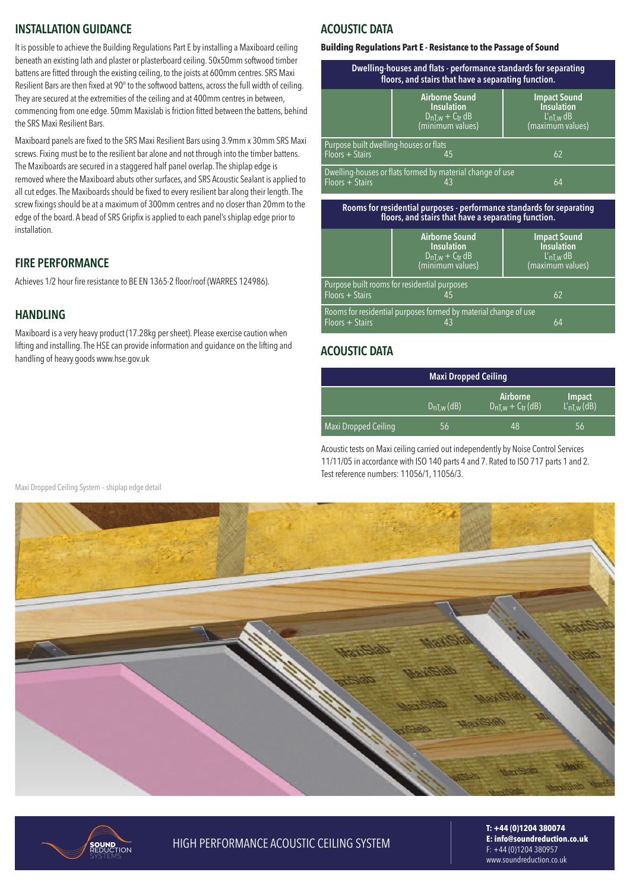## **INSTALLATIoN GuIdANcE**

It is possible to achieve the Building Regulations Part E by installing a Maxiboard ceiling beneath an existing lath and plaster or plasterboard ceiling. 50x50mm softwood timber battens are fitted through the existing ceiling, to the joists at 600mm centres. srs maxi Resilient Bars are then fixed at 90° to the softwood battens, across the full width of ceiling. They are secured at the extremities of the ceiling and at 400mm centres in between, commencing from one edge. 50mm maxislab isfriction fitted between the battens, behind the SRS Maxi Resilient Bars.

maxiboard panels are fixed to the srs maxi resilient Bars using 3.9mm x 30mm srs maxi screws. Fixing must be to the resilient bar alone and not through into the timber battens. The Maxiboards are secured in a staggered half panel overlap. The shiplap edge is removed where the Maxiboard abuts other surfaces, and SRS Acoustic Sealant is applied to all cut edges. The Maxiboards should be fixed to every resilient bar along their length. The screw fixings should be at a maximum of 300mm centres and no closer than 20mm to the edge of the board. A bead of SRS Gripfix is applied to each panel's shiplap edge prior to installation.

#### **FIRE PERFoRMANcE**

Achieves 1/2 hour fire resistance to BE EN 1365-2 floor/roof (WARRES 124986).

# **HANdLING**

maxiboard is a very heavy product (17.28kg persheet). Please exercise caution when lifting and installing. The HSE can provide information and guidance on the lifting and handling of heavy goods www.hse.gov.uk

# **AcouSTIc dATA**

#### **Building Regulations Part E - Resistance to the Passage of Sound**

| Dwelling-houses and flats - performance standards for separating<br>floors, and stairs that have a separating function. |                                                                                     |                                                                              |  |  |
|-------------------------------------------------------------------------------------------------------------------------|-------------------------------------------------------------------------------------|------------------------------------------------------------------------------|--|--|
|                                                                                                                         | <b>Airborne Sound</b><br><b>Insulation</b><br>$DnT, w + Ctr dB$<br>(minimum values) | <b>Impact Sound</b><br><b>Insulation</b><br>$L'$ nT,w dB<br>(maximum values) |  |  |
| Purpose built dwelling-houses or flats<br>$Floors + Stairs$<br>62<br>45                                                 |                                                                                     |                                                                              |  |  |
| Dwelling-houses or flats formed by material change of use<br>$Floors + Stairs$<br>64<br>43                              |                                                                                     |                                                                              |  |  |

**Rooms for residential purposes - performance standards for separating floors, and stairs that have a separating function.**

|                                                                                                  | <b>Airborne Sound</b><br><b>Insulation</b><br>$D_{nT,w} + C_{tr} dB$<br>(minimum values) | <b>Impact Sound</b><br><b>Insulation</b><br>$L'_{nT,w}$ dB<br>(maximum values) |  |
|--------------------------------------------------------------------------------------------------|------------------------------------------------------------------------------------------|--------------------------------------------------------------------------------|--|
| $Floors + Stairs$                                                                                | Purpose built rooms for residential purposes                                             | 62                                                                             |  |
| Rooms for residential purposes formed by material change of use<br>$Floors + Stairs$<br>64<br>43 |                                                                                          |                                                                                |  |

## **AcouSTIc dATA**

|                      | <b>Maxi Dropped Ceiling</b> |                               |                                   |
|----------------------|-----------------------------|-------------------------------|-----------------------------------|
|                      | $DnT, w$ (dB)               | Airborne<br>$DnI,w + Ctr(dB)$ | <b>Impact</b><br>$L'_{nT,w}$ (dB) |
| Maxi Dropped Ceiling | 56                          | 48                            | 56                                |

Acoustic tests on Maxi ceiling carried out independently by Noise Control Services 11/11/05 in accordance with ISO 140 parts 4 and 7. Rated to ISO 717 parts 1 and 2. Test reference numbers: 11056/1, 11056/3.





## **HIGH PERFORMANCE ACOUSTIC CEILING SYSTEM**

**T: +44 (0)1204 380074 E: info@soundreduction.co.uk** f: +44 (0)1204 380957 www.soundreduction.co.uk

Maxi Dropped Ceiling System - shiplap edge detail